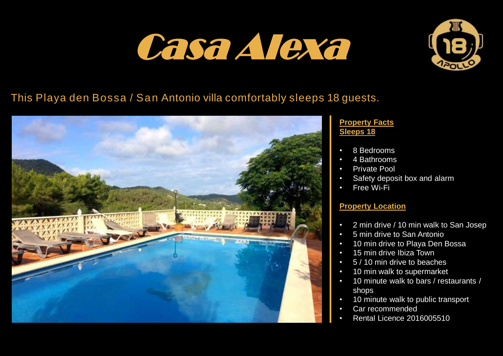# Casa Alexa



## This Playa den Bossa / San Antonio villa comfortably sleeps 18 guests.



#### **Property Facts Sleeps 18**

- 8 Bedrooms
- 4 Bathrooms
- Private Pool
- Safety deposit box and alarm
- Free Wi-Fi

#### **Property Location**

- 2 min drive / 10 min walk to San Josep
- 5 min drive to San Antonio
- 10 min drive to Playa Den Bossa
- 15 min drive Ibiza Town
- 5 / 10 min drive to beaches
- 10 min walk to supermarket
- 10 minute walk to bars / restaurants / shops
- 10 minute walk to public transport
- Car recommended
- Rental Licence 2016005510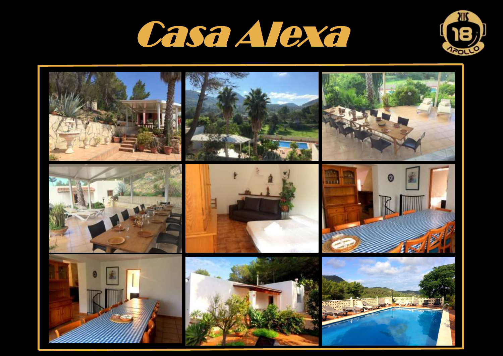



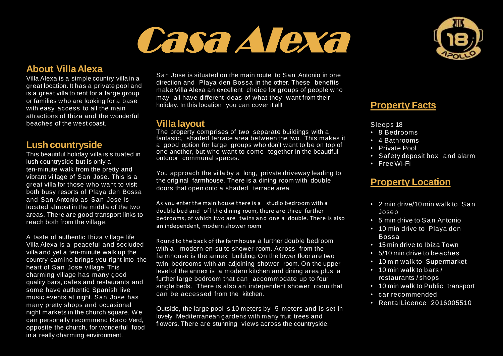## Casa Alexa



#### **About VillaAlexa**

Villa Alexa is a simple country villa in a great location. It has a private pool and is a great villa to rent for a large group or families who are looking for a base with easy access to all the main attractions of Ibiza and the wonderful beaches of the west coast.

#### **Lush countryside**

This beautiful holiday villa is situated in lush countryside but is only a ten-minute walk from the pretty and vibrant village of San Jose. This is a great villa for those who want to visit both busy resorts of Playa den Bossa and San Antonio as San Jose is located almost in the middle of the two areas. There are good transport links to reach both from the village.

A taste of authentic Ibiza village life Villa Alexa is a peaceful and secluded villa and yet a ten-minute walk up the country camino brings you right into the heart of San Jose village. This charming village has many good quality bars, cafes and restaurants and some have authentic Spanish live music events at night. San Jose has many pretty shops and occasional night markets in the church square. W e can personally recommend Raco Verd, opposite the church, for wonderful food in a really charming environment.

San Jose is situated on the main route to San Antonio in one direction and Playa den Bossa in the other. These benefits make Villa Alexa an excellent choice for groups of people who may all have different ideas of what they want from their holiday. In this location you can cover it all!

#### **Villa layout**

The property comprises of two separate buildings with a fantastic, shaded terrace area between the two. This makes it a good option for large groups who don't want to be on top of one another, but who want to come together in the beautiful outdoor communal spaces.

You approach the villa by a long, private driveway leading to the original farmhouse. There is a dining room with double doors that open onto a shaded terrace area.

As you enter the main house there is a studio bedroom with a double bed and off the dining room, there are three further bedrooms, of which two are twins and one a double. There is also an independent, modern shower room

Round to the back of the farmhouse a further double bedroom with a modern en-suite shower room. Across from the farmhouse is the annex building. On the lower floor are two twin bedrooms with an adjoining shower room. On the upper level of the annex is a modern kitchen and dining area plus a further large bedroom that can accommodate up to four single beds. There is also an independent shower room that can be accessed from the kitchen.

Outside, the large pool is 10 meters by 5 meters and is set in lovely Mediterranean gardens with many fruit trees and flowers. There are stunning views across the countryside.

### **Property Facts**

Sleeps 18

- 8 Bedrooms
- 4 Bathrooms
- Private Pool
- Safety deposit box and alarm
- Free Wi-Fi

#### **Property Location**

- 2 min drive/10 min walk to San Josep
- 5 min drive to San Antonio
- 10 min drive to Playa den Bossa
- 15 min drive to Ibiza Town
- 5/10 min drive to beaches
- 10 min walk to Supermarket
- 10 min walk to bars / restaurants / shops
- 10 min walk to Public transport
- car recommended
- Rental Licence 2016005510